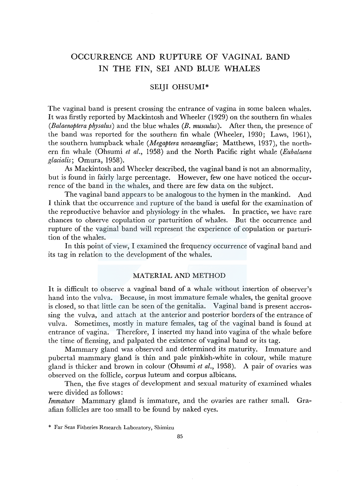# OCCURRENCE AND RUPTURE OF VAGINAL BAND IN THE FIN, SEI AND BLUE WHALES

# SEIJI OHSUMI\*

The vaginal band is present crossing the entrance of vagina in some baleen whales. It was firstly reported by Mackintosh and Wheeler (1929) on the southern fin whales *(Balaenoptera physalus)* and the blue whales *(B. musculus).* After then, the presence of the band was reported for the southern fin whale (Wheeler, 1930; Laws, 1961), the southern humpback whale *(Megaptera novaeangliae;* Matthews, 1937), the northern fin whale (Ohsumi *et al.,* 1958) and the North Pacific right whale *(Eubalaena glacialis;* Omura, 1958).

As Mackintosh and Wheeler described, the vaginal band is not an abnormality, but is found in fairly large percentage. However, few one have noticed the occurrence of the band in the whales, and there are few data on the subject.

The vaginal band appears to be analogous to the hymen in the mankind. And I think that the occurrence and rupture of the band is useful for the examination of the reproductive behavior and physiology in the whales. In practice, we have rare chances to observe copulation or parturition of whales. But the occurrence and rupture of the vaginal band will represent the experience of copulation or parturition of the whales.

In this point of view, I examined the frequency occurrence of vaginal band and its tag in relation to the development of the whales.

# MATERIAL AND METHOD

It is difficult to observe a vaginal band of a whale without insertion of observer's hand into the vulva. Because, in most immature female whales, the genital groove is closed, so that little can be seen of the genitalia. Vaginal band is present accrossing the vulva, and attach at the anterior and posterior borders of the entrance of vulva. Sometimes, mostly in mature females, tag of the vaginal band is found at entrance of vagina. Therefore, I inserted my hand into vagina of the whale before the time of flensing, and palpated the existence of vaginal band or its tag.

Mammary gland was observed and determined its maturity. Immature and pubertal mammary gland is thin and pale pinkish-white in colour, while mature gland is thicker and brown in colour (Ohsumi *et al.,* 1958). A pair of ovaries was observed on the follicle, corpus luteum and corpus albicans.

Then, the five stages of development and sexual maturity of examined whales were divided as follows :

*Immature* Mammary gland is immature, and the ovaries are rather small. Graafian follicles are too small to be found by naked eyes.

\* Far Seas Fisheries Research Laboratory, Shimizu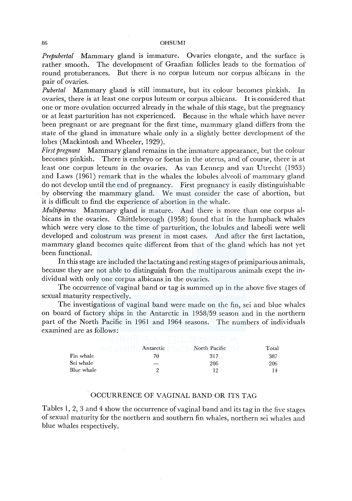*Prepubertal* Mammary gland is immature. Ovaries elongate, and the surface is rather smooth. The development of Graafian follicles leads to the formation of round protuberances. But there is no corpus luteum nor corpus albicans in the pair of ovaries.

*Pubertal* Mammary gland is still immature, but its colour becomes pinkish. In ovaries, there is at least one corpus luteum or corpus albicans. It is considered that one or more ovulation occurred already in the whale of this stage, but the pregnancy or at least parturition has not experienced. Because in the whale which have never been pregnant or are pregnant for the first time, mammary gland differs from the state of the gland in immature whale only in a slightly better development of the lobes (Mackintosh and Wheeler, 1929).

*First pregnant* Mammary gland remains in the immature appearance, but the colour becomes pinkish. There is embryo or foetus in the uterus, and of course, there is at least one corpus leteum in the ovaries. As van Lennep and van Utrecht (1953) and Laws (1961) remark that in the whales the lobules alveoli of mammary gland do not develop until the end of pregnancy. First pregnancy is easily distinguishable by observing the mammary gland. We must consider the case of abortion, but it is difficult to find the experience of abortion in the whale.

*Multiparous* Mammary gland is mature. And there is more than one corpus albicans in the ovaries. Chittleborough (1958) found that in the humpback whales which were very close to the time of parturition, the lobules and labeoli were well developed and colostrum was present in most cases. And after the first lactation, mammary gland becomes quite different from that of the gland which has not yet been functional.

In this stage are included the lactating and resting stages of primiparious animals, because they are not able to distinguish from the multiparous animals exept the individual with only one corpus albicans in the ovaries.

The occurrence of vaginal band or tag is summed up in the above five stages of sexual maturity respectively.

The investigations of vaginal band were made on the fin, sei and blue whales on board of factory ships in the Antarctic in 1958/59 season and in the northern part of the North Pacific in 1961 and 1964 seasons. The numbers of individuals examined are as follows:

|            | Antarctic | North Pacific | Total |
|------------|-----------|---------------|-------|
| Fin whale  | 70        | 317           | 387   |
| Sei whale  |           | 206           | 206   |
| Blue whale |           | 19            | 14    |

### . OCCURRENCE OF VAGINAL BAND OR ITS TAG

Tables I, 2, 3 and 4 show the occurrence of vaginal band and its tag in the five stages of sexual maturity for the northern and southern fin whales, northern sei whales and blue whales respectively.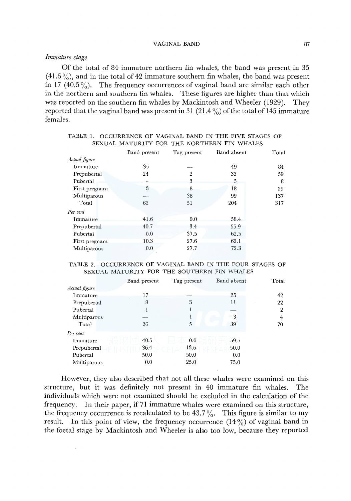# *Immature stage*

Of the total of 84 immature northern fin whales, the band was present in 35  $(41.6\%)$ , and in the total of 42 immature southern fin whales, the band was present in 17 (40.5%). The frequency occurrences of vaginal band are similar each other in the northern and southern fin whales. These figures are higher than that which was reported on the southern fin whales by Mackintosh and Wheeler (1929). They reported that the vaginal band was present in 31 (21.4%) of the total of 145 immature females.

|                | Band present | Tag present    | Band absent | Total |
|----------------|--------------|----------------|-------------|-------|
| Actual figure  |              |                |             |       |
| Immature       | 35           |                | 49          | 84    |
| Prepubertal    | 24           | $\overline{2}$ | 33          | 59    |
| Pubertal       |              | 3              | 5           | 8     |
| First pregnant | 3            | 8              | 18          | 29    |
| Multiparous    |              | 38             | 99          | 137   |
| Total          | 62           | 51             | 204         | 317   |
| Per cent       |              |                |             |       |
| Immature       | 41.6         | 0.0            | 58.4        |       |
| Prepubertal    | 40.7         | 3.4            | 55.9        |       |
| Pubertal       | 0.0          | 37.5           | 62.5        |       |
| First pregnant | 10.3         | 27.6           | 62.1        |       |
| Multiparous    | 0.0          | 27.7           | 72.3        |       |

# TABLE I. OCCURRENCE OF VAGINAL BAND IN THE FIVE STAGES OF SEXUAL MATURITY FOR THE NORTHERN FIN WHALES

#### TABLE 2. OCCURRENCE OF VAGINAL BAND IN THE FOUR STAGES OF SEXUAL MATURITY FOR THE SOUTHERN FIN WHALES

|               | Band present | Tag present | Band absent | Total          |
|---------------|--------------|-------------|-------------|----------------|
| Actual figure |              |             |             |                |
| Immature      | 17           |             | 25          | 42             |
| Prepubertal   | 8            | 3           | 11          | 22             |
| Pubertal      |              |             |             | $\overline{2}$ |
| Multiparous   | ---          |             | 3           | 4              |
| Total         | 26           | 5           | 39          | 70             |
| Per cent      |              |             |             |                |
| Immature      | 40.5         | 0.0         | 59.5        |                |
| Prepubertal   | 36.4         | 13.6        | 50.0        |                |
| Pubertal      | 50.0         | 50.0        | 0.0         |                |
| Multiparous   | 0.0          | 25.0        | 75.0        |                |
|               |              |             |             |                |

However, they also described that not all these whales were examined on this structure, but it was definitely not present in 40 immature fin whales. The individuals which were not examined should be excluded in the calculation of the frequency. In their paper, if71 immature whales were examined on this structure, the frequency occurrence is recalculated to be  $43.7\%$ . This figure is similar to my result. In this point of view, the frequency occurrence  $(14\%)$  of vaginal band in the foetal stage by Mackintosh and \Vheeler is also too low, because they reported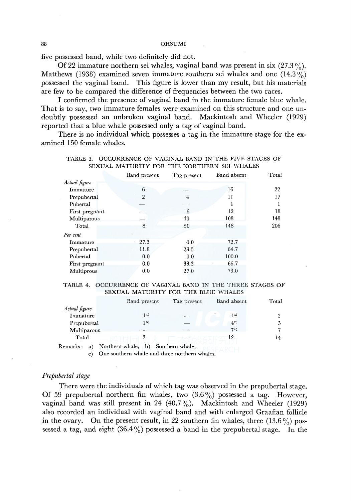five possessed band, while two definitely did not.

Of 22 immature northern sei whales, vaginal band was present in six  $(27.3\%)$ . Matthews (1938) examined seven immature southern sei whales and one (14.3%) possessed the vaginal band. This figure is lower than my result, but his materials are few to be compared the difference of frequencies between the two races.

I confirmed the presence of vaginal band in the immature female blue whale. That is to say, two immature females were examined on this structure and one undoubtly possessed an unbroken vaginal band. Mackintosh and Wheeler (1929) reported that a blue whale possessed only a tag of vaginal band.

There is no individual which possesses a tag in the immature stage for the examined 150 female whales.

|                | Band present   | Tag present | Band absent | Total |
|----------------|----------------|-------------|-------------|-------|
| Actual figure  |                |             |             |       |
| Immature       | 6              |             | 16          | 22    |
| Prepubertal    | $\overline{2}$ | 4           | 11          | 17    |
| Pubertal       |                |             |             |       |
| First pregnant |                | 6           | 12          | 18    |
| Multiparous    |                | 40          | 108         | 148   |
| Total          | 8              | 50          | 148         | 206   |
| Per cent       |                |             |             |       |
| Immature       | 27.3           | 0.0         | 72.7        |       |
| Prepubertal    | 11.8           | 23.5        | 64.7        |       |
| Pubertal       | 0.0            | 0.0         | 100.0       |       |
| First pregnant | 0.0            | 33.3        | 66.7        |       |
| Multiprous     | 0.0            | 27.0        | 73.0        |       |

# TABLE 3. OCCURRENCE OF VAGINAL BAND IN THE FIVE STAGES OF SEXUAL MATURITY FOR THE NORTHERN SEI WHALES

### TABLE 4. OCCURRENCE OF VAGINAL BAND IN THE THREE STAGES OF SEXUAL MATURITY FOR THE BLUE WHALES

|               | Band present   | Tag present                 | Band absent | Total |
|---------------|----------------|-----------------------------|-------------|-------|
| Actual figure |                |                             |             |       |
| Immature      | 1a)            |                             | $ a\rangle$ |       |
| Prepubertal   | 1 <sub>b</sub> |                             | AC)         | C.    |
| Multiparous   |                |                             | 7a)         |       |
| Total         | 9              | $-$                         | 12          | 14    |
|               | 1. A           | $C = \{1, 2, \ldots, n-1\}$ |             |       |

Remarks: a) Northern whale, b) Southern whale,

c) One southern whale and three northern whales.

#### *Prepubertal stage*

There were the individuals of which tag was observed in the prepubertal stage. Of 59 prepubertal northern fin whales, two  $(3.6\%)$  possessed a tag. However, vaginal band was still present in 24 (40.7%). Mackintosh and Wheeler (1929) also recorded an individual with vaginal band and with enlarged Graafian follicle in the ovary. On the present result, in 22 southern fin whales, three  $(13.6\%)$  possessed a tag, and eight  $(36.4\%)$  possessed a band in the prepubertal stage. In the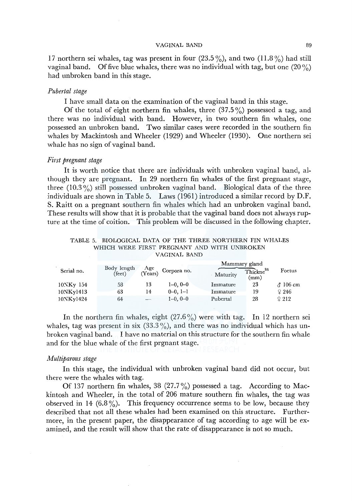#### VAGINAL BAND 89

17 northern sei whales, tag was present in four  $(23.5\%)$ , and two  $(11.8\%)$  had still vaginal band. Of five blue whales, there was no individual with tag, but one  $(20\%)$ had unbroken band in this stage.

#### *Pubertal stage*

I have small data on the examination of the vaginal band in this stage.

Of the total of eight northern fin whales, three  $(37.5\%)$  possessed a tag, and there was no individual with band. However, in two southern fin whales, one possessed an unbroken band. Two similar cases were recorded in the southern fin whales by Mackintosh and Wheeler (1929) and Wheeler (1930). One northern sei whale has no sign of vaginal band.

### *First pregnant stage*

It is worth notice that there are individuals with unbroken vaginal band, although they are pregnant. In 29 northern fin whales of the first pregnant stage, three  $(10.3\%)$  still possessed unbroken vaginal band. Biological data of the three :individuals are shown in Table 5. Laws (1961) introduced a similar record by D.F. S. Raitt on a pregnant southern fin whales which had an unbroken vaginal band. These results will show that it is probable that the vaginal band does not always rupture at the time of coition. This problem will be discussed in the following chapter.

#### TABLE 5. BIOLOGICAL DATA OF THE THREE NORTHERN FIN WHALES WHICH WERE FIRST PREGNANT AND WITH UNBROKEN VAGINAL BAND

| Serial no. | Body length<br>$(\text{feet})$ | Age<br>(Years)           | $\Lambda$ Corpora no. | Mammary gland<br>Maturity | $\overline{\rm Thicken}^{\rm ss}$<br>(mm) | Foetus           |
|------------|--------------------------------|--------------------------|-----------------------|---------------------------|-------------------------------------------|------------------|
| 10NKy 154  | 58                             | 13                       | $1 - 0.0 - 0$         | Immature                  | 23                                        | $\lambda$ 106 cm |
| 10NKy1413  | 63                             | 14                       | $0-0, 1-1$            | Immature                  | 19                                        | 9246             |
| 10NKy1424  | 64                             | $\overline{\phantom{a}}$ | $1-0, 0-0$            | Pubertal                  | 28                                        | 9212             |

In the northern fin whales, eight  $(27.6\%)$  were with tag. In 12 northern sei whales, tag was present in six  $(33.3\%)$ , and there was no individual which has unbroken vaginal band. I have no material on this structure for the southern fin whale and for the blue whale of the first prgnant stage.

#### *Nlultiparous stage*

In this stage, the individual with unbroken vaginal band did not occur, but there were the whales with tag.

Of 137 northern fin whales, 38 (27.7%) possessed a tag. According to Mackintosh and Wheeler, in the total of 206 mature southern fin whales, the tag was observed in 14  $(6.8\%)$ . This frequency occurrence seems to be low, because they described that not all these whales had been examined on this structure. Furthermore, in the present paper, the disappearance of tag according to age will be examined, and the result will show that the rate of disappearance is not so much.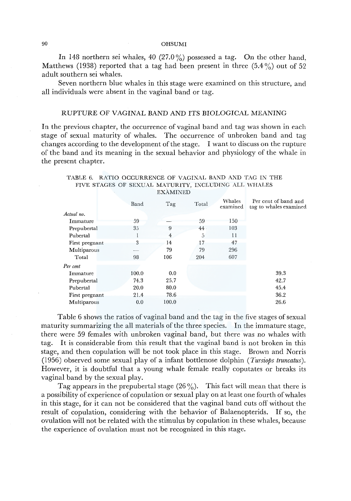In 148 northern sei whales, 40 (27.0%) possessed a tag. On the other hand, Matthews (1938) reported that a tag had been present in three  $(5.4\%)$  out of 52 adult southern sei whales.

Seven northern blue whales in this stage were examined on this structure, and all individuals were absent in the vaginal band or tag.

# RUPTURE OF VAGINAL BAND AND ITS BIOLOGICAL MEANING

In the previous chapter, the occurrence of vaginal band and tag was shown in each stage of sexual maturity of whales. The occurrence of unbroken band and tag changes according to the development of the stage. I want to discuss on the rupture of the band and its meaning in the sexual behavior and physiology of the whale in the present chapter.

|  | TABLE 6. RATIO OCCURRENCE OF VAGINAL BAND AND TAG IN THE |                 |  |  |  |
|--|----------------------------------------------------------|-----------------|--|--|--|
|  | FIVE STAGES OF SEXUAL MATURITY, INCLUDING ALL WHALES     |                 |  |  |  |
|  |                                                          | <b>EXAMINED</b> |  |  |  |

|                | Band  | Tag   | Total | Whales<br>examined | Per cent of band and<br>tag to whales examined |
|----------------|-------|-------|-------|--------------------|------------------------------------------------|
| Actual no.     |       |       |       |                    |                                                |
| Immature       | 59    |       | 59    | 150                |                                                |
| Prepubertal    | 35    | 9     | 44.   | 103                |                                                |
| Pubertal       |       | 4     | 5     | 11                 |                                                |
| First pregnant | 3     | 14    | 17    | 47                 |                                                |
| Multiparous    |       | 79    | 79    | 296                |                                                |
| Total          | 98    | 106   | 204   | 607                |                                                |
| Per cent       |       |       |       |                    |                                                |
| Immature       | 100.0 | 0.0   |       |                    | 39.3                                           |
| Prepubertal    | 74.3  | 25.7  |       |                    | 42.7                                           |
| Pubertal       | 20.0  | 80.0  |       |                    | 45.4                                           |
| First pregnant | 21.4  | 78.6  |       |                    | 36.2                                           |
| Multiparous    | 0.0   | 100.0 |       |                    | 26.6                                           |

Table 6 shows the ratios of vaginal band and the tag in the five stages of sexual maturity summarizing the all materials of the three species. In the immature stage, there were 59 females with unbroken vaginal band, but there was no whales with tag. It is considerable from this result that the vaginal band is not broken in this stage, and then copulation will be not took place in this stage. Brown and Norris (1956) observed some sexual play of a infant bottlenose dolphin *(Tursiops truncatus).*  However, it is doubtful that a young whale female really coputates or breaks its vaginal band by the sexual play.

Tag appears in the prepubertal stage  $(26\%)$ . This fact will mean that there is a possibility of experience of copulation or sexual play on at least one fourth of whales in this stage, for it can not be considered that the vaginal band cuts off without the result of copulation, considering with the behavior of Balaenopterids. If so, the ovulation will not be related with the stimulus by copulation in these whales, because the experience of ovulation must not be recognized in this stage.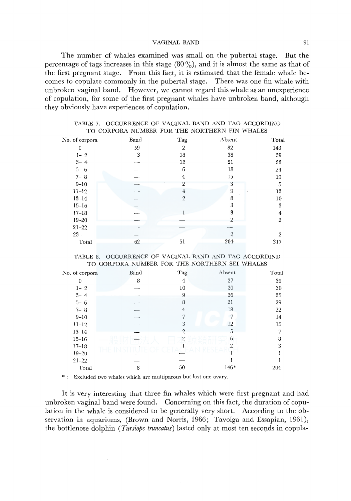VAGINAL BAND 91

The number of whales examined was small on the pubertal stage. But the percentage of tags increases in this stage  $(80\%)$ , and it is almost the same as that of the first pregnant stage. From this fact, it is estimated that the female whale becomes to copulate commonly in the pubertal stage. There was one fin whale with unbroken vaginal band. However, we cannot regard this whale as an unexperience of copulation, for some of the first pregnant whales have unbroken band, although they obviously have experiences of copulation.

| Band | Tag            | Absent         | Total |
|------|----------------|----------------|-------|
| 59   | $\overline{2}$ | 82             | 143   |
| 3    | 18             | 38             | 59    |
|      | 12             | 21             | 33    |
|      | 6              | 18             | 24    |
|      | 4              | 15             | 19    |
|      | 2              | 3              | 5     |
|      | $\overline{4}$ | 9              | 13    |
|      | 2              | 8              | 10    |
|      |                | 3              | 3     |
|      |                | 3              | 4     |
|      |                | $\overline{2}$ | 2     |
|      |                |                |       |
|      |                | $\overline{2}$ | 2     |
| 62   | 51             | 204            | 317   |
|      |                |                |       |

| TABLE 7. OCCURRENCE OF VAGINAL BAND AND TAG ACCORDING |                                               |  |  |  |
|-------------------------------------------------------|-----------------------------------------------|--|--|--|
|                                                       | TO CORPORA NUMBER FOR THE NORTHERN FIN WHALES |  |  |  |

TABLE 8. OCCURRENCE OF VAGINAL BAND AND TAG ACCORDIND TO CORPORA NUMBER FOR THE NORTHERN SEI WHALES

| No. of corpora | Band | Tag            | Absent         | Total |
|----------------|------|----------------|----------------|-------|
| $\mathbf{0}$   | 8    | 4              | 27             | 39    |
| $1 - 2$        |      | 10             | 20             | 30    |
| $3 - 4$        |      | 9              | 26             | 35    |
| $5 - 6$        |      | 8              | 21             | 29    |
| $7 - 8$        |      | $\overline{4}$ | 18             | 22    |
| $9 - 10$       |      | 7              | 7              | 14    |
| $11 - 12$      |      | 3              | 12             | 15    |
| $13 - 14$      |      | $\overline{2}$ | $\overline{D}$ | 7     |
| $15 - 16$      |      | $\overline{2}$ | 6              | 8     |
| $17 - 18$      |      |                | 2              | 3     |
| $19 - 20$      |      |                |                |       |
| $21 - 22$      |      |                |                |       |
| Total          | 8    | 50             | $146*$         | 204   |
|                |      |                |                |       |

\*: Excluded two whales which are multiparous but lost one ovary.

It is very interesting that three fin whales which were first pregnant and had unbroken vaginal band were found. Concerning on this fact, the duration of copulation in the whale is considered to be generally very short. According to the observation in aquariums, (Brown and Norris, 1966; Tavolga and Essapian, 1961), the bottlenose dolphin *(Tursiops truncatus)* lasted only at most ten seconds in copula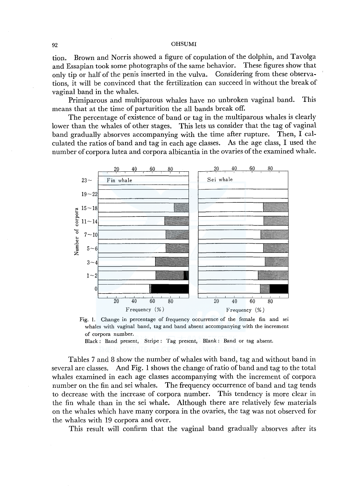tion. Brown and Norris showed a figure of copulation of the dolphin, and Tavolga and Essapian took some photographs of the same behavior. These figures show that only tip or half of the penis inserted in the vulva. Considering from these observations, it will be convinced that the fertilization can succeed in without the break of vaginal band in the whales.

Primiparous and multiparous whales have no unbroken vaginal band. This means that at the time of parturition the all bands break off.

The percentage of existence of band or tag in the multiparous whales is clearly lower than the whales of other stages. This lets us consider that the tag of vaginal band gradually absorves accompanying with the time after rupture. Then, I calculated the ratios of band and tag in each age classes. As the age class, I used the number of corpora lutea and corpora albicantia in the ovaries of the examined whale.



Fig. !. Change in percentage of frequency occurrence of the female fin and sei whales with vaginal band, tag and band absent accompanying with the increment of corpora number.

Black: Band present, Stripe: Tag present, Blank: Band or tag absent.

Tables 7 and 8 show the number of whales with band, tag and without band in several are classes. And Fig. 1 shows the change ofratio of band and tag to the total whales examined in each age classes accompanying with the increment of corpora number on the fin and sei whales. The frequency occurrence of band and tag tends to decrease with the increase of corpora number. This tendency is more clear in the fin whale than in the sei whale. Although there are relatively few materials on the whales which have many corpora in the ovaries, the tag was not observed for the whales with 19 corpora and over.

This result will confirm that the vaginal band gradually absorves after its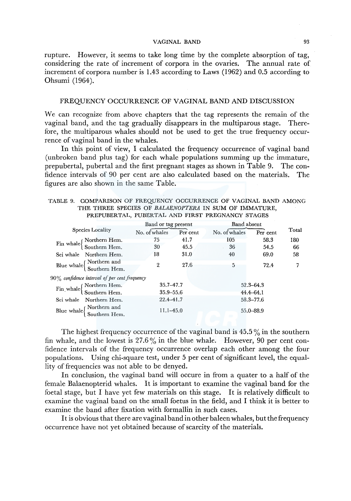rupture. However, it seems to take long time by the complete absorption of tag, considering the rate of increment of corpora in the ovaries. The annual rate of increment of corpora number is 1.43 according to Laws (1962) and 0.5 according to Ohsumi (1964).

# FREQUENCY OCCURRENCE OF VAGINAL BAND AND DISCUSSION

\Ve can recognize from above chapters that the tag represents the remain of the vaginal band, and the tag gradually disappears in the multiparous stage. Therefore, the multiparous whales should not be used to get the true frequency occurrence of vaginal band in the whales.

In this point of view, I calculated the frequency occurrence of vaginal band (unbroken band plus tag) for each whale populations summing up the immature, prepubertal, pubertal and the first pregnant stages as shown in Table 9. The confidence intervals of 90 per cent are also calculated based on the materials. The figures are also shown in the same Table.

| TABLE 9. COMPARISON OF FREQUENCY OCCURRENCE OF VAGINAL BAND AMONG |  |
|-------------------------------------------------------------------|--|
| THE THREE SPECIES OF BALAENOPTERA IN SUM OF IMMATURE,             |  |
| PREPUBERTAL, PUBERTAL AND FIRST PREGNANCY STAGES                  |  |

| Species Locality                                                                                      |                                                                                                                    | Band or tag present |          | Band absent   |           |       |
|-------------------------------------------------------------------------------------------------------|--------------------------------------------------------------------------------------------------------------------|---------------------|----------|---------------|-----------|-------|
|                                                                                                       |                                                                                                                    | No. of whales       | Per cent | No. of whales | Per cent  | Total |
| Fin whale $\left\{ \begin{array}{l} \text{Northern Hem.} \\ \text{Southern Hem.} \end{array} \right.$ |                                                                                                                    | 75                  | 41.7     | 105           | 58.3      | 180   |
|                                                                                                       |                                                                                                                    | 30                  | 45.5     | 36            | 54.5      | 66    |
|                                                                                                       | Sei whale Northern Hem.                                                                                            | 18                  | 31.0     | 40            | 69.0      | 58    |
|                                                                                                       | Blue whale $\left\{ \begin{array}{l}\text{Northern and} \\ \text{Southern Hem.} \end{array} \right.$               | 2                   | 27.6     | 5             | 72.4      |       |
|                                                                                                       | 90% confidence interval of per cent frequency                                                                      |                     |          |               |           |       |
|                                                                                                       |                                                                                                                    | $35.7 - 47.7$       |          | $52.3 - 64.3$ |           |       |
|                                                                                                       | $\text{Fin}_{\cdot}$ whale $\left\{\begin{array}{l}\text{Northern Hem.} \\ \text{Southern Hem.}\end{array}\right.$ | $35.9 - 55.6$       |          | $44.4 - 64.1$ |           |       |
|                                                                                                       | Sei whale Northern Hem.                                                                                            | $22.4 - 41.7$       |          | $58.3 - 77.6$ |           |       |
|                                                                                                       | Blue whale $\left\{ \begin{array}{ll} \text{Northern and} \\ \text{Southern Hem.} \end{array} \right.$             | $11.1 - 45.0$       |          |               | 55.0-88.9 |       |

The highest frequency occurrence of the vaginal band is  $45.5\%$  in the southern fin whale, and the lowest is  $27.6\%$  in the blue whale. However, 90 per cent confidence intervals of the frequency occurrence overlap each other among the four populations. Using chi-square test, under 5 per cent of significant level, the equallity of frequencies was not able to be denyed.

In conclusion, the vaginal band will occure in from a quater to a half of the female Balaenopterid whales. It is important to examine the vaginal band for the foetal stage, but I have yet few materials on this stage. It is relatively difficult to examine the vaginal band on the small foetus in the field, and I think it is better to examine the band after fixation with formallin in such cases.

It is obvious that there are vaginal band in other baleen whales, but the frequency occurrence have not yet obtained because of scarcity of the materials.